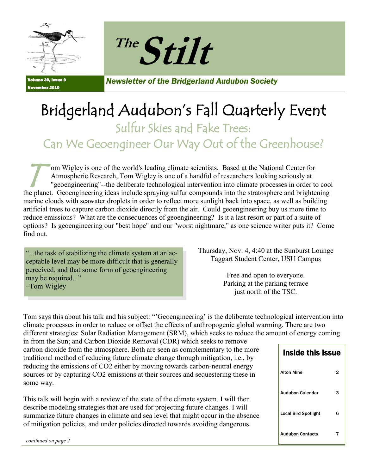



Volume 39, Issue 9 November 2010

*Newsletter of the Bridgerland Audubon Society*

## Bridgerland Audubon's Fall Quarterly Event

Sulfur Skies and Fake Trees:

Can We Geoengineer Our Way Out of the Greenhouse?

T om Wigley is one of the world's leading climate scientists. Based at the National Center for Atmospheric Research, Tom Wigley is one of a handful of researchers looking seriously at "geoengineering"--the deliberate technological intervention into climate processes in order to cool the planet. Geoengineering ideas include spraying sulfur compounds into the stratosphere and brightening marine clouds with seawater droplets in order to reflect more sunlight back into space, as well as building artificial trees to capture carbon dioxide directly from the air. Could geoengineering buy us more time to reduce emissions? What are the consequences of geoengineering? Is it a last resort or part of a suite of options? Is geoengineering our "best hope" and our "worst nightmare," as one science writer puts it? Come find out.

―...the task of stabilizing the climate system at an acceptable level may be more difficult that is generally perceived, and that some form of geoengineering may be required..." –Tom Wigley

Thursday, Nov. 4, 4:40 at the Sunburst Lounge Taggart Student Center, USU Campus

> Free and open to everyone. Parking at the parking terrace just north of the TSC.

Tom says this about his talk and his subject: "Geoengineering' is the deliberate technological intervention into climate processes in order to reduce or offset the effects of anthropogenic global warming. There are two different strategies: Solar Radiation Management (SRM), which seeks to reduce the amount of energy coming

in from the Sun; and Carbon Dioxide Removal (CDR) which seeks to remove carbon dioxide from the atmosphere. Both are seen as complementary to the more traditional method of reducing future climate change through mitigation, i.e., by reducing the emissions of CO2 either by moving towards carbon-neutral energy sources or by capturing CO2 emissions at their sources and sequestering these in some way.

This talk will begin with a review of the state of the climate system. I will then describe modeling strategies that are used for projecting future changes. I will summarize future changes in climate and sea level that might occur in the absence of mitigation policies, and under policies directed towards avoiding dangerous

| <b>Inside this Issue</b>    |   |
|-----------------------------|---|
| <b>Alton Mine</b>           | 2 |
| <b>Audubon Calendar</b>     | з |
| <b>Local Bird Spotlight</b> | 6 |
| <b>Audubon Contacts</b>     |   |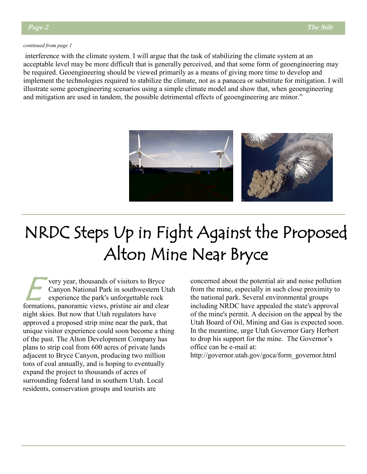#### *continued from page 1*

interference with the climate system. I will argue that the task of stabilizing the climate system at an acceptable level may be more difficult that is generally perceived, and that some form of geoengineering may be required. Geoengineering should be viewed primarily as a means of giving more time to develop and implement the technologies required to stabilize the climate, not as a panacea or substitute for mitigation. I will illustrate some geoengineering scenarios using a simple climate model and show that, when geoengineering and mitigation are used in tandem, the possible detrimental effects of geoengineering are minor."



## NRDC Steps Up in Fight Against the Proposed Alton Mine Near Bryce

E very year, thousands of visitors to Bryce Canyon National Park in southwestern Utah experience the park's unforgettable rock formations, panoramic views, pristine air and clear night skies. But now that Utah regulators have approved a proposed strip mine near the park, that unique visitor experience could soon become a thing of the past. The Alton Development Company has plans to strip coal from 600 acres of private lands adjacent to Bryce Canyon, producing two million tons of coal annually, and is hoping to eventually expand the project to thousands of acres of surrounding federal land in southern Utah. Local residents, conservation groups and tourists are

concerned about the potential air and noise pollution from the mine, especially in such close proximity to the national park. Several environmental groups including NRDC have appealed the state's approval of the mine's permit. A decision on the appeal by the Utah Board of Oil, Mining and Gas is expected soon. In the meantime, urge Utah Governor Gary Herbert to drop his support for the mine. The Governor's office can be e-mail at:

http://governor.utah.gov/goca/form\_governor.html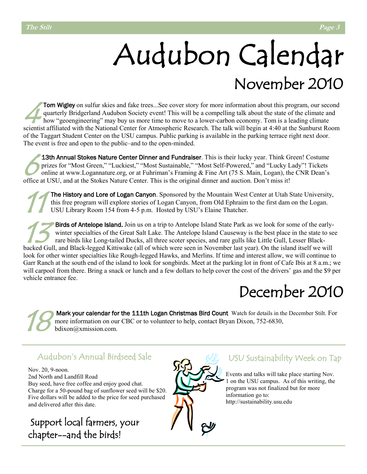## Audubon Calendar November 2010

 $\frac{1}{4}$ Tom Wigley on sulfur skies and fake trees...See cover story for more information about this program, our second quarterly Bridgerland Audubon Society event! This will be a compelling talk about the state of the climate and how "geoengineering" may buy us more time to move to a lower-carbon economy. Tom is a leading climate scientist affiliated with the National Center for Atmospheric Research. The talk will begin at 4:40 at the Sunburst Room of the Taggart Student Center on the USU campus. Public parking is available in the parking terrace right next door. The event is free and open to the public–and to the open-minded.

 $\frac{1}{\sqrt{\frac{p}{n}}}$ 13th Annual Stokes Nature Center Dinner and Fundraiser. This is their lucky year. Think Green! Costume prizes for "Most Green," "Luckiest," "Most Sustainable," "Most Self-Powered," and "Lucky Lady"! Tickets online at www.Logannature.org, or at Fuhriman's Framing & Fine Art (75 S. Main, Logan), the CNR Dean's office at USU, and at the Stokes Nature Center. This is the original dinner and auction. Don't miss it!

11 The History and Lore of Logan Canyon. Sponsored by the Mountain West Center at Utah State University, this free program will explore stories of Logan Canyon, from Old Ephraim to the first dam on the Logan. USU Library Room 154 from 4-5 p.m. Hosted by USU's Elaine Thatcher.

13 Birds of Antelope Island. Join us on a trip to Antelope Island State Park as we look for some of the earlywinter specialties of the Great Salt Lake. The Antelope Island Causeway is the best place in the state to see rare birds like Long-tailed Ducks, all three scoter species, and rare gulls like Little Gull, Lesser Blackbacked Gull, and Black-legged Kittiwake (all of which were seen in November last year). On the island itself we will look for other winter specialties like Rough-legged Hawks, and Merlins. If time and interest allow, we will continue to Garr Ranch at the south end of the island to look for songbirds. Meet at the parking lot in front of Cafe Ibis at 8 a.m.; we will carpool from there. Bring a snack or lunch and a few dollars to help cover the cost of the drivers' gas and the \$9 per vehicle entrance fee.

## December 2010

18 Mark your calendar for the 111th Logan Christmas Bird Count Watch for details in the December Stilt. For more information on our CBC or to volunteer to help, contact Bryan Dixon, 752-6830, bdixon@xmission.com.

### Audubon's Annual Birdseed Sale

Nov. 20, 9-noon. 2nd North and Landfill Road Buy seed, have free coffee and enjoy good chat. Charge for a 50-pound bag of sunflower seed will be \$20. Five dollars will be added to the price for seed purchased and delivered after this date.

Support local farmers, your chapter--and the birds!



### USU Sustainability Week on Tap

Events and talks will take place starting Nov. 1 on the USU campus. As of this writing, the program was not finalized but for more information go to: http://sustainability.usu.edu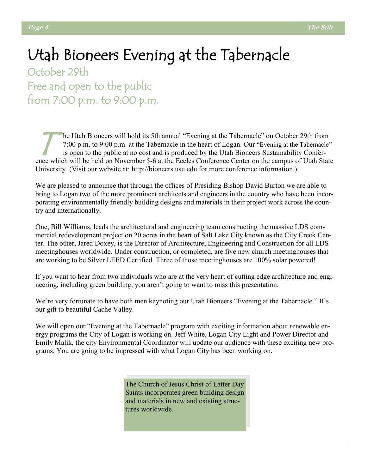## Utah Bioneers Evening at the Tabernacle

October 29th Free and open to the public from 7:00 p.m. to 9:00 p.m.

T he Utah Bioneers will hold its 5th annual "Evening at the Tabernacle" on October 29th from 7:00 p.m. to 9:00 p.m. at the Tabernacle in the heart of Logan. Our "Evening at the Tabernacle" is open to the public at no cost and is produced by the Utah Bioneers Sustainability Conference which will be held on November 5-6 at the Eccles Conference Center on the campus of Utah State University. (Visit our website at: http://bioneers.usu.edu for more conference information.)

We are pleased to announce that through the offices of Presiding Bishop David Burton we are able to bring to Logan two of the more prominent architects and engineers in the country who have been incorporating environmentally friendly building designs and materials in their project work across the country and internationally.

One, Bill Williams, leads the architectural and engineering team constructing the massive LDS commercial redevelopment project on 20 acres in the heart of Salt Lake City known as the City Creek Center. The other, Jared Doxey, is the Director of Architecture, Engineering and Construction for all LDS meetinghouses worldwide. Under construction, or completed, are five new church meetinghouses that are working to be Silver LEED Certified. Three of those meetinghouses are 100% solar powered!

If you want to hear from two individuals who are at the very heart of cutting edge architecture and engineering, including green building, you aren't going to want to miss this presentation.

We're very fortunate to have both men keynoting our Utah Bioneers "Evening at the Tabernacle." It's our gift to beautiful Cache Valley.

We will open our "Evening at the Tabernacle" program with exciting information about renewable energy programs the City of Logan is working on. Jeff White, Logan City Light and Power Director and Emily Malik, the city Environmental Coordinator will update our audience with these exciting new programs. You are going to be impressed with what Logan City has been working on.

> The Church of Jesus Christ of Latter Day Saints incorporates green building design and materials in new and existing structures worldwide.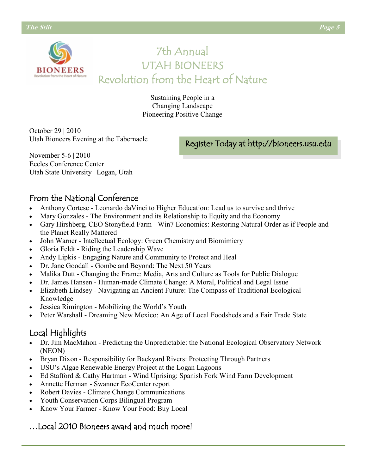**BIONEERS** 

### 7th Annual UTAH BIONEERS Revolution from the Heart of Nature

Sustaining People in a Changing Landscape Pioneering Positive Change

October 29 | 2010 Utah Bioneers Evening at the Tabernacle

Register Today at http://bioneers.usu.edu

November 5-6 | 2010 Eccles Conference Center Utah State University | Logan, Utah

### From the National Conference

- Anthony Cortese Leonardo daVinci to Higher Education: Lead us to survive and thrive
- Mary Gonzales The Environment and its Relationship to Equity and the Economy
- Gary Hirshberg, CEO Stonyfield Farm Win7 Economics: Restoring Natural Order as if People and the Planet Really Mattered
- John Warner Intellectual Ecology: Green Chemistry and Biomimicry
- Gloria Feldt Riding the Leadership Wave
- Andy Lipkis Engaging Nature and Community to Protect and Heal
- Dr. Jane Goodall Gombe and Beyond: The Next 50 Years
- Malika Dutt Changing the Frame: Media, Arts and Culture as Tools for Public Dialogue
- Dr. James Hansen Human-made Climate Change: A Moral, Political and Legal Issue
- Elizabeth Lindsey Navigating an Ancient Future: The Compass of Traditional Ecological Knowledge
- Jessica Rimington Mobilizing the World's Youth
- Peter Warshall Dreaming New Mexico: An Age of Local Foodsheds and a Fair Trade State

### Local Highlights

- Dr. Jim MacMahon Predicting the Unpredictable: the National Ecological Observatory Network (NEON)
- Bryan Dixon Responsibility for Backyard Rivers: Protecting Through Partners
- USU's Algae Renewable Energy Project at the Logan Lagoons
- Ed Stafford & Cathy Hartman Wind Uprising: Spanish Fork Wind Farm Development
- Annette Herman Swanner EcoCenter report
- Robert Davies Climate Change Communications
- Youth Conservation Corps Bilingual Program
- Know Your Farmer Know Your Food: Buy Local

### …Local 2010 Bioneers award and much more!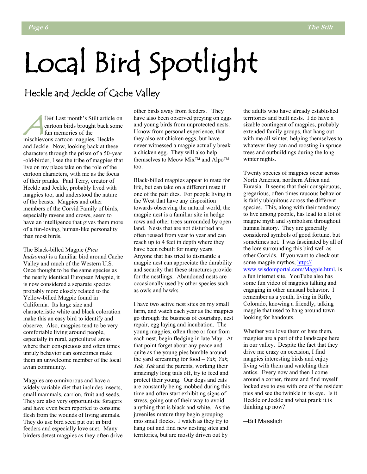## Local Bird Spotlight

### Heckle and Jeckle of Cache Valley

fte fter Last month's Stilt article on cartoon birds brought back some fun memories of the mischievous cartoon magpies, Heckle and Jeckle. Now, looking back at these characters through the prism of a 50-year -old-birder, I see the tribe of magpies that live on my place take on the role of the cartoon characters, with me as the focus of their pranks. Paul Terry, creator of Heckle and Jeckle, probably lived with magpies too, and understood the nature of the beasts. Magpies and other members of the Corvid Family of birds, especially ravens and crows, seem to have an intelligence that gives them more of a fun-loving, human-like personality than most birds.

The Black-billed Magpie (*Pica hudsonia)* is a familiar bird around Cache Valley and much of the Western U.S. Once thought to be the same species as the nearly identical European Magpie, it is now considered a separate species probably more closely related to the Yellow-billed Magpie found in California. Its large size and characteristic white and black coloration make this an easy bird to identify and observe. Also, magpies tend to be very comfortable living around people, especially in rural, agricultural areas where their conspicuous and often times unruly behavior can sometimes make them an unwelcome member of the local avian community.

Magpies are omnivorous and have a widely variable diet that includes insects, small mammals, carrion, fruit and seeds. They are also very opportunistic foragers and have even been reported to consume flesh from the wounds of living animals. They do use bird seed put out in bird feeders and especially love suet. Many birders detest magpies as they often drive other birds away from feeders. They have also been observed preying on eggs and young birds from unprotected nests. I know from personal experience, that they also eat chicken eggs, but have never witnessed a magpie actually break a chicken egg. They will also help themselves to Meow Mix<sup>TM</sup> and Alpo<sup>TM</sup> too.

Black-billed magpies appear to mate for life, but can take on a different mate if one of the pair dies. For people living in the West that have any disposition towards observing the natural world, the magpie nest is a familiar site in hedge rows and other trees surrounded by open land. Nests that are not disturbed are often reused from year to year and can reach up to 4 feet in depth where they have been rebuilt for many years. Anyone that has tried to dismantle a magpie nest can appreciate the durability and security that these structures provide for the nestlings. Abandoned nests are occasionally used by other species such as owls and hawks.

I have two active nest sites on my small farm, and watch each year as the magpies go through the business of courtship, nest repair, egg laying and incubation. The young magpies, often three or four from each nest, begin fledging in late May. At that point forget about any peace and quite as the young pies bumble around the yard screaming for food – *Yak, Yak, Yak, Yak* and the parents, working their amazingly long tails off, try to feed and protect their young. Our dogs and cats are constantly being mobbed during this time and often start exhibiting signs of stress, going out of their way to avoid anything that is black and white. As the juveniles mature they begin grouping into small flocks. I watch as they try to hang out and find new nesting sites and territories, but are mostly driven out by

the adults who have already established territories and built nests. I do have a sizable contingent of magpies, probably extended family groups, that hang out with me all winter, helping themselves to whatever they can and roosting in spruce trees and outbuildings during the long winter nights.

Twenty species of magpies occur across North America, northern Africa and Eurasia. It seems that their conspicuous, gregarious, often times raucous behavior is fairly ubiquitous across the different species. This, along with their tendency to live among people, has lead to a lot of magpie myth and symbolism throughout human history. They are generally considered symbols of good fortune, but sometimes not. I was fascinated by all of the lore surrounding this bird well as other Corvids. If you want to check out some magpie mythos, http:// www.wisdomportal.com/Magpie.html, is a fun internet site. YouTube also has some fun video of magpies talking and engaging in other unusual behavior. I remember as a youth, living in Rifle, Colorado, knowing a friendly, talking magpie that used to hang around town looking for handouts.

Whether you love them or hate them, magpies are a part of the landscape here in our valley. Despite the fact that they drive me crazy on occasion, I find magpies interesting birds and enjoy living with them and watching their antics. Every now and then I come around a corner, freeze and find myself locked eye to eye with one of the resident pies and see the twinkle in its eye. Is it Heckle or Jeckle and what prank it is thinking up now?

—Bill Masslich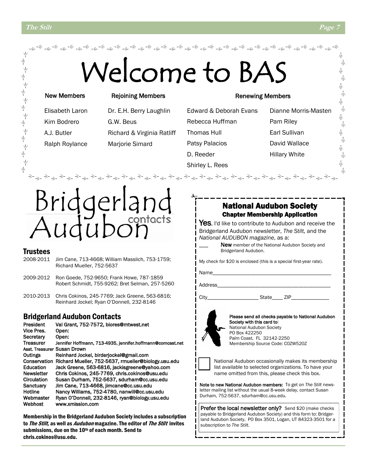Υķ

 $\frac{1}{2}$ 

Ψ

ψ

ΥĶ

ψ  $\frac{1}{2}$ ψ Ņγ

ψ

<sub></sub><sub></sup></sub>

### New Members

### Rejoining Members

Kim Bodrero G.W. Beus

Elisabeth Laron Dr. E.H. Berry Laughlin A.J. Butler Richard & Virginia Ratliff Ralph Roylance Marjorie Simard

### Renewing Members

Rebecca Huffman Pam Riley Thomas Hull **Earl Sullivan** Patsy Palacios **David Wallace** D. Reeder Hillary White Shirley L. Rees

Edward & Deborah Evans Dianne Morris-Masten

# contacts

### Trustees

- 2008-2011 Jim Cane, 713-4668; William Masslich, 753-1759; Richard Mueller, 752-5637
- 2009-2012 Ron Goede, 752-9650; Frank Howe, 787-1859 Robert Schmidt, 755-9262; Bret Selman, 257-5260
- 2010-2013 Chris Cokinos, 245-7769; Jack Greene, 563-6816; Reinhard Jockel; Ryan O'Donnell, 232-8146

### Bridgerland Audubon Contacts

President Val Grant, 752-7572, biores@mtwest.net Vice Pres. Open: Secretary Open: Treasurer Jennifer Hoffmann, 713-4935, jennifer.hoffmann@comcast.net Asst. Treasurer Susan Drown Outings Reinhard Jockel, birderjockel@gmail.com Conservation Richard Mueller, 752-5637, rmueller@biology.usu.edu Education Jack Greene, 563-6816, jackisgreene@yahoo.com Newsletter Chris Cokinos, 245-7769, chris.cokinos@usu.edu Circulation Susan Durham, 752-5637, sdurham@cc.usu.edu Sanctuary Jim Cane, 713-4668, jimcane@cc.usu.edu Hotline Nancy Williams, 752-4780, nanwill@cc.usu.edu Webmaster Ryan O'Donnell, 232-8146, ryan@biology.usu.edu Webhost www.xmission.com

Membership in the Bridgerland Audubon Society includes a subscription to The Stilt, as well as *Audubon* magazine. The editor of The Stilt invites submissions, due on the 10th of each month. Send to chris.cokinos@usu.edu.

### National Audubon Society Chapter Membership Application

Yes, I'd like to contribute to Audubon and receive the Bridgerland Audubon newsletter, *The Stilt,* and the *National AUDUBON magazine*, as a:

> New member of the National Audubon Society and Bridgerland Audubon.

My check for \$20 is enclosed (this is a special first-year rate).

Name\_

Address\_\_\_\_\_\_\_\_\_\_\_\_\_\_\_\_\_\_\_\_\_\_\_\_\_\_\_\_\_\_\_\_\_\_\_\_\_\_\_\_\_\_

City\_\_\_\_\_\_\_\_\_\_\_\_\_\_\_\_\_\_\_ State\_\_\_\_ ZIP\_\_\_\_\_\_\_\_\_\_\_\_\_\_



Please send all checks payable to National Audubon Society with this card to: National Audubon Society PO Box 422250 Palm Coast, FL 32142-2250 Membership Source Code: C0ZW520Z



National Audubon occasionally makes its membership list available to selected organizations. To have your name omitted from this, please check this box.

Note to new National Audubon members: To get on *The Stilt* newsletter mailing list without the usual 8-week delay, contact Susan Durham, 752-5637, sdurham@cc.usu.edu.

Prefer the local newsletter only? Send \$20 (make checks payable to Bridgerland Audubon Society) and this form to: Bridgerland Audubon Society, PO Box 3501, Logan, UT 84323-3501 for a subscription to *The Stilt.*

六

六 朩 小

朩

朩 小 本

六

六